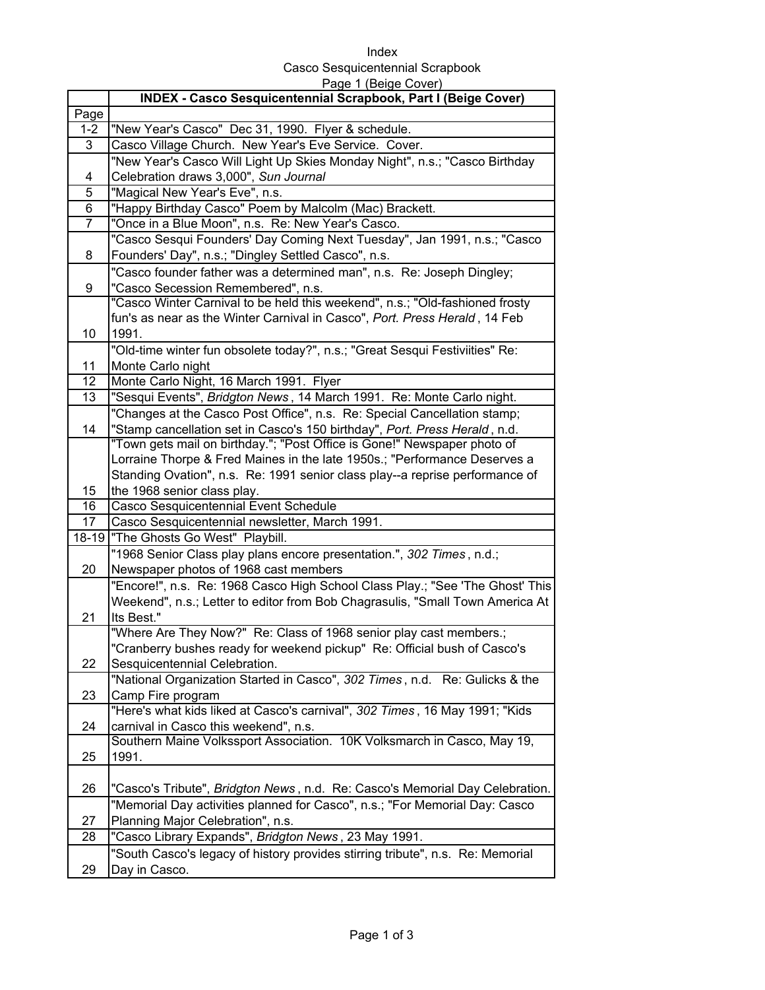Index Casco Sesquicentennial Scrapbook Page 1 (Beige Cover)

|                | $1.490 + 1.00190 + 00101$<br><b>INDEX - Casco Sesquicentennial Scrapbook, Part I (Beige Cover)</b> |
|----------------|----------------------------------------------------------------------------------------------------|
| Page           |                                                                                                    |
| $1 - 2$        | "New Year's Casco" Dec 31, 1990. Flyer & schedule.                                                 |
| 3              | Casco Village Church. New Year's Eve Service. Cover.                                               |
|                | "New Year's Casco Will Light Up Skies Monday Night", n.s.; "Casco Birthday                         |
| 4              | Celebration draws 3,000", Sun Journal                                                              |
| 5              | "Magical New Year's Eve", n.s.                                                                     |
| 6              | "Happy Birthday Casco" Poem by Malcolm (Mac) Brackett.                                             |
| $\overline{7}$ | "Once in a Blue Moon", n.s. Re: New Year's Casco.                                                  |
|                | "Casco Sesqui Founders' Day Coming Next Tuesday", Jan 1991, n.s.; "Casco                           |
| 8              | Founders' Day", n.s.; "Dingley Settled Casco", n.s.                                                |
|                | "Casco founder father was a determined man", n.s. Re: Joseph Dingley;                              |
| 9              | "Casco Secession Remembered", n.s.                                                                 |
|                | "Casco Winter Carnival to be held this weekend", n.s.; "Old-fashioned frosty                       |
|                | fun's as near as the Winter Carnival in Casco", Port. Press Herald, 14 Feb                         |
| 10             | 1991.                                                                                              |
|                | "Old-time winter fun obsolete today?", n.s.; "Great Sesqui Festiviities" Re:                       |
| 11             | Monte Carlo night                                                                                  |
| 12             | Monte Carlo Night, 16 March 1991. Flyer                                                            |
| 13             | "Sesqui Events", Bridgton News, 14 March 1991. Re: Monte Carlo night.                              |
|                | "Changes at the Casco Post Office", n.s. Re: Special Cancellation stamp;                           |
| 14             | "Stamp cancellation set in Casco's 150 birthday", Port. Press Herald, n.d.                         |
|                | "Town gets mail on birthday."; "Post Office is Gone!" Newspaper photo of                           |
|                | Lorraine Thorpe & Fred Maines in the late 1950s.; "Performance Deserves a                          |
|                | Standing Ovation", n.s. Re: 1991 senior class play--a reprise performance of                       |
| 15             | the 1968 senior class play.                                                                        |
| 16             | Casco Sesquicentennial Event Schedule                                                              |
| 17             | Casco Sesquicentennial newsletter, March 1991.                                                     |
| $18 - 19$      | "The Ghosts Go West" Playbill.                                                                     |
|                | "1968 Senior Class play plans encore presentation.", 302 Times, n.d.;                              |
| 20             | Newspaper photos of 1968 cast members                                                              |
|                | "Encore!", n.s. Re: 1968 Casco High School Class Play.; "See 'The Ghost' This                      |
| 21             | Weekend", n.s.; Letter to editor from Bob Chagrasulis, "Small Town America At<br>Its Best."        |
|                | "Where Are They Now?" Re: Class of 1968 senior play cast members.;                                 |
|                | "Cranberry bushes ready for weekend pickup" Re: Official bush of Casco's                           |
| 22             | Sesquicentennial Celebration.                                                                      |
|                | "National Organization Started in Casco", 302 Times, n.d. Re: Gulicks & the                        |
| 23             | Camp Fire program                                                                                  |
|                | "Here's what kids liked at Casco's carnival", 302 Times, 16 May 1991; "Kids                        |
| 24             | carnival in Casco this weekend", n.s.                                                              |
|                | Southern Maine Volkssport Association. 10K Volksmarch in Casco, May 19,                            |
| 25             | 1991.                                                                                              |
|                |                                                                                                    |
| 26             | "Casco's Tribute", Bridgton News, n.d. Re: Casco's Memorial Day Celebration.                       |
|                | "Memorial Day activities planned for Casco", n.s.; "For Memorial Day: Casco                        |
| 27             | Planning Major Celebration", n.s.                                                                  |
| 28             | "Casco Library Expands", Bridgton News, 23 May 1991.                                               |
|                | "South Casco's legacy of history provides stirring tribute", n.s. Re: Memorial                     |
| 29             | Day in Casco.                                                                                      |
|                |                                                                                                    |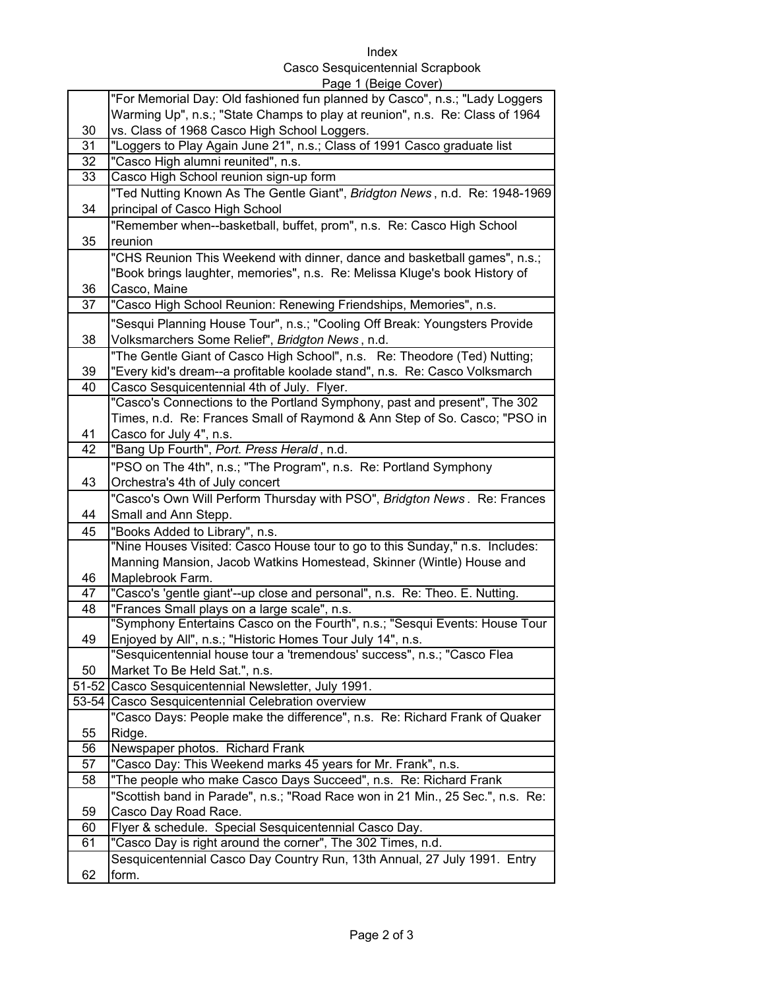Index

## Casco Sesquicentennial Scrapbook

|       | Page 1 (Beige Cover)                                                           |
|-------|--------------------------------------------------------------------------------|
|       | "For Memorial Day: Old fashioned fun planned by Casco", n.s.; "Lady Loggers    |
|       | Warming Up", n.s.; "State Champs to play at reunion", n.s. Re: Class of 1964   |
| 30    | vs. Class of 1968 Casco High School Loggers.                                   |
| 31    | "Loggers to Play Again June 21", n.s.; Class of 1991 Casco graduate list       |
| 32    | "Casco High alumni reunited", n.s.                                             |
| 33    | Casco High School reunion sign-up form                                         |
|       | "Ted Nutting Known As The Gentle Giant", Bridgton News, n.d. Re: 1948-1969     |
| 34    | principal of Casco High School                                                 |
|       | "Remember when--basketball, buffet, prom", n.s. Re: Casco High School          |
| 35    | reunion                                                                        |
|       | "CHS Reunion This Weekend with dinner, dance and basketball games", n.s.;      |
|       | "Book brings laughter, memories", n.s. Re: Melissa Kluge's book History of     |
| 36    | Casco, Maine                                                                   |
| 37    | "Casco High School Reunion: Renewing Friendships, Memories", n.s.              |
|       |                                                                                |
|       | "Sesqui Planning House Tour", n.s.; "Cooling Off Break: Youngsters Provide     |
| 38    | Volksmarchers Some Relief", Bridgton News, n.d.                                |
|       | "The Gentle Giant of Casco High School", n.s. Re: Theodore (Ted) Nutting;      |
| 39    | "Every kid's dream--a profitable koolade stand", n.s. Re: Casco Volksmarch     |
| 40    | Casco Sesquicentennial 4th of July. Flyer.                                     |
|       | "Casco's Connections to the Portland Symphony, past and present", The 302      |
|       | Times, n.d. Re: Frances Small of Raymond & Ann Step of So. Casco; "PSO in      |
| 41    | Casco for July 4", n.s.                                                        |
| 42    | "Bang Up Fourth", Port. Press Herald, n.d.                                     |
|       | "PSO on The 4th", n.s.; "The Program", n.s. Re: Portland Symphony              |
| 43    | Orchestra's 4th of July concert                                                |
|       | "Casco's Own Will Perform Thursday with PSO", Bridgton News. Re: Frances       |
| 44    | Small and Ann Stepp.                                                           |
| 45    | "Books Added to Library", n.s.                                                 |
|       | "Nine Houses Visited: Casco House tour to go to this Sunday," n.s. Includes:   |
|       | Manning Mansion, Jacob Watkins Homestead, Skinner (Wintle) House and           |
| 46    | Maplebrook Farm.                                                               |
| 47    | "Casco's 'gentle giant'--up close and personal", n.s. Re: Theo. E. Nutting.    |
| 48    | "Frances Small plays on a large scale", n.s.                                   |
|       | "Symphony Entertains Casco on the Fourth", n.s.; "Sesqui Events: House Tour    |
| 49    | Enjoyed by All", n.s.; "Historic Homes Tour July 14", n.s.                     |
|       | "Sesquicentennial house tour a 'tremendous' success", n.s.; "Casco Flea        |
| 50    | Market To Be Held Sat.", n.s.                                                  |
| 51-52 | Casco Sesquicentennial Newsletter, July 1991.                                  |
| 53-54 | Casco Sesquicentennial Celebration overview                                    |
|       | "Casco Days: People make the difference", n.s. Re: Richard Frank of Quaker     |
| 55    | Ridge.                                                                         |
| 56    | Newspaper photos. Richard Frank                                                |
| 57    | "Casco Day: This Weekend marks 45 years for Mr. Frank", n.s.                   |
| 58    | "The people who make Casco Days Succeed", n.s. Re: Richard Frank               |
|       | "Scottish band in Parade", n.s.; "Road Race won in 21 Min., 25 Sec.", n.s. Re: |
| 59    | Casco Day Road Race.                                                           |
| 60    | Flyer & schedule. Special Sesquicentennial Casco Day.                          |
| 61    | "Casco Day is right around the corner", The 302 Times, n.d.                    |
|       | Sesquicentennial Casco Day Country Run, 13th Annual, 27 July 1991. Entry       |
| 62    | form.                                                                          |
|       |                                                                                |